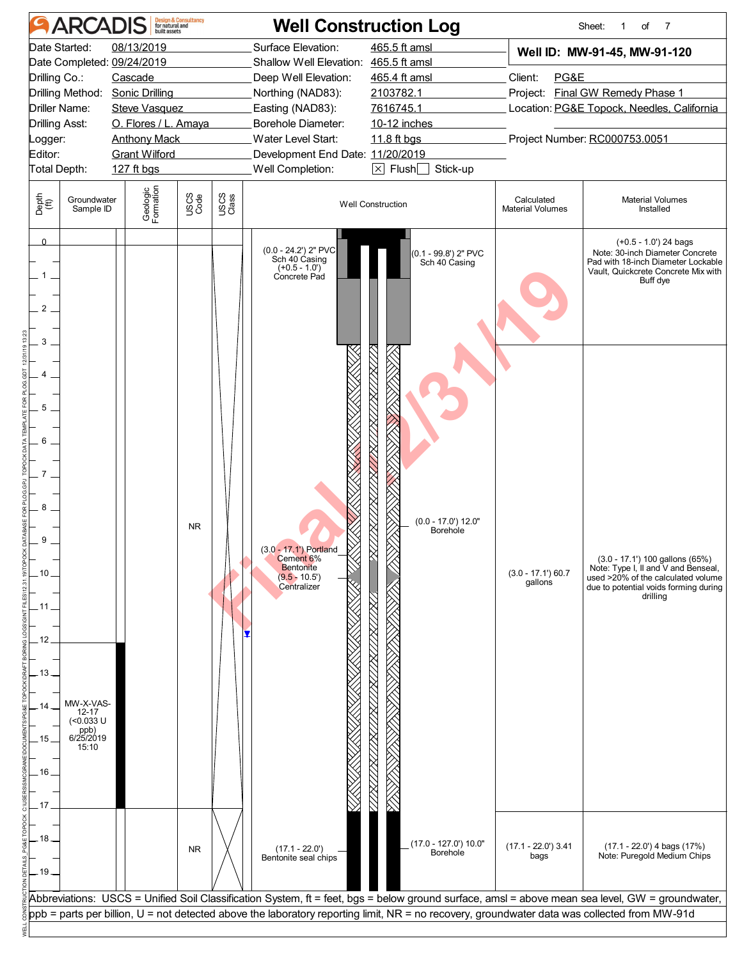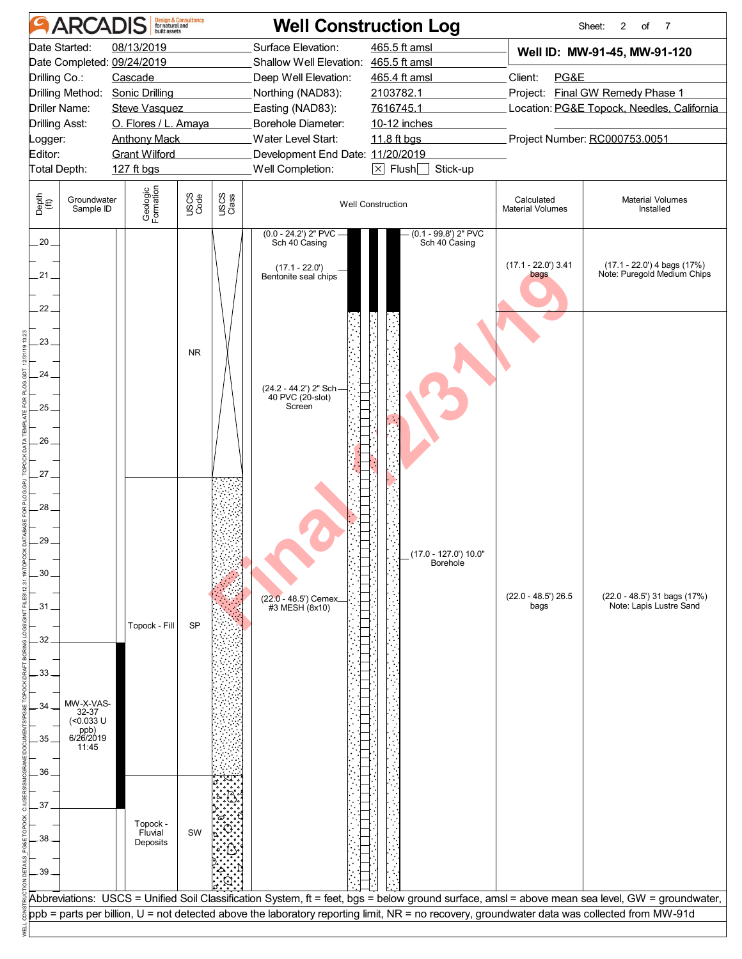| <b>ARCADIS</b>                                                                                                                                                          | <b>Design &amp; Consultancy</b><br>for natural and<br>built assets                                                                                          |                                                                                                                                                                                                                                                                                                 | <b>Well Construction Log</b>                                                                                                    |                                                  | Sheet:<br>2<br>of<br>$\overline{7}$                                                                            |
|-------------------------------------------------------------------------------------------------------------------------------------------------------------------------|-------------------------------------------------------------------------------------------------------------------------------------------------------------|-------------------------------------------------------------------------------------------------------------------------------------------------------------------------------------------------------------------------------------------------------------------------------------------------|---------------------------------------------------------------------------------------------------------------------------------|--------------------------------------------------|----------------------------------------------------------------------------------------------------------------|
| Date Started:<br>Date Completed: 09/24/2019<br>Drilling Co.:<br>Drilling Method:<br><b>Driller Name:</b><br><b>Drilling Asst:</b><br>Logger:<br>Editor:<br>Total Depth: | 08/13/2019<br>Cascade<br><b>Sonic Drilling</b><br><b>Steve Vasquez</b><br>O. Flores / L. Amaya<br><b>Anthony Mack</b><br><b>Grant Wilford</b><br>127 ft bgs | Surface Elevation:<br>Shallow Well Elevation: 465.5 ft amsl<br>Deep Well Elevation:<br>Northing (NAD83):<br>Easting (NAD83):<br>Borehole Diameter:<br>Water Level Start:<br>Development End Date: 11/20/2019<br>Well Completion:                                                                | 465.5 ft amsl<br>465.4 ft amsl<br>2103782.1<br>7616745.1<br>10-12 inches<br>11.8 ft bgs<br>Stick-up<br>$\boxtimes$ Flush $\Box$ | Client:<br>PG&E<br>Project Number: RC000753.0051 | Well ID: MW-91-45, MW-91-120<br>Project: Final GW Remedy Phase 1<br>Location: PG&E Topock, Needles, California |
| Depth<br>(ft)<br>Groundwater<br>Sample ID                                                                                                                               | Geologic<br>Formation<br>USCS<br>Code                                                                                                                       | USCS<br>Class                                                                                                                                                                                                                                                                                   | <b>Well Construction</b>                                                                                                        | Calculated<br><b>Material Volumes</b>            | <b>Material Volumes</b><br>Installed                                                                           |
| $.20 -$<br>.21.<br>22 <sub>1</sub>                                                                                                                                      |                                                                                                                                                             | $(0.0 - 24.2')$ 2" PVC<br>Sch 40 Casing<br>(17.1 - 22.0')<br>Bentonite seal chips                                                                                                                                                                                                               | $(0.1 - 99.8')$ 2" PVC<br>Sch 40 Casing                                                                                         | $(17.1 - 22.0)$ 3.41<br>bags                     | $(17.1 - 22.0')$ 4 bags $(17%)$<br>Note: Puregold Medium Chips                                                 |
| 23<br>24.                                                                                                                                                               | <b>NR</b>                                                                                                                                                   | (24.2 - 44.2') 2" Sch<br>40 PVC (20-slot)                                                                                                                                                                                                                                                       |                                                                                                                                 |                                                  |                                                                                                                |
| 25 <sub>1</sub><br>.26<br>$27-$                                                                                                                                         |                                                                                                                                                             | Screen                                                                                                                                                                                                                                                                                          |                                                                                                                                 |                                                  |                                                                                                                |
| 28<br>29.<br>30                                                                                                                                                         |                                                                                                                                                             |                                                                                                                                                                                                                                                                                                 | (17.0 - 127.0') 10.0"<br>Borehole                                                                                               |                                                  |                                                                                                                |
| .31<br>32                                                                                                                                                               | Topock - Fill<br>SP                                                                                                                                         | (22.0 - 48.5') Cemex.<br>#3 MESH (8x10)                                                                                                                                                                                                                                                         |                                                                                                                                 | $(22.0 - 48.5)$ 26.5<br>bags                     | (22.0 - 48.5') 31 bags (17%)<br>Note: Lapis Lustre Sand                                                        |
| 33<br>MW-X-VAS-<br>34<br>32-37<br>(<0.033 U<br>ppb)<br>6/26/2019<br>35<br>11:45                                                                                         |                                                                                                                                                             |                                                                                                                                                                                                                                                                                                 |                                                                                                                                 |                                                  |                                                                                                                |
| 36<br>.37<br>38                                                                                                                                                         | Topock -<br>Fluvial<br>SW<br>Deposits                                                                                                                       |                                                                                                                                                                                                                                                                                                 |                                                                                                                                 |                                                  |                                                                                                                |
| .39                                                                                                                                                                     |                                                                                                                                                             | Abbreviations: USCS = Unified Soil Classification System, ft = feet, bgs = below ground surface, amsl = above mean sea level, GW = groundwater,<br>ppb = parts per billion, U = not detected above the laboratory reporting limit, NR = no recovery, groundwater data was collected from MW-91d |                                                                                                                                 |                                                  |                                                                                                                |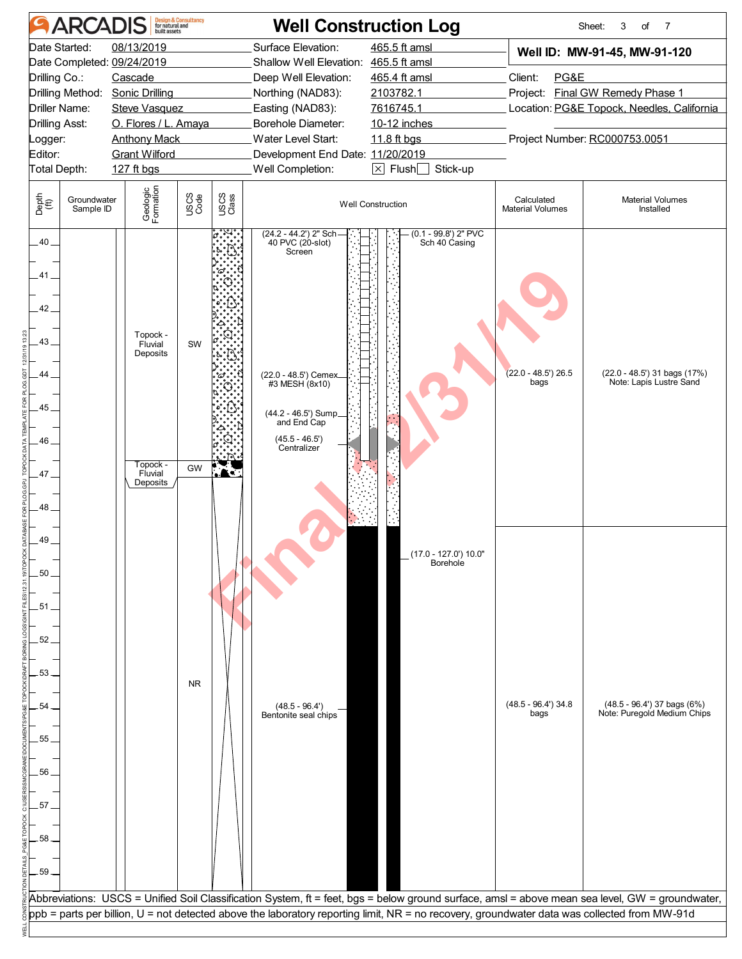| <b>ARCADIS</b>                                                                                                                                            | <b>Design &amp; Consultancy</b><br>for natural and<br>built assets                                                                                                                                                                                                                              | <b>Well Construction Log</b>                                                                                                                                                                                                     |                                                                                                                                                  |                                                                                                                                                                    | Sheet:<br>3<br>$\overline{7}$<br>of                        |  |  |
|-----------------------------------------------------------------------------------------------------------------------------------------------------------|-------------------------------------------------------------------------------------------------------------------------------------------------------------------------------------------------------------------------------------------------------------------------------------------------|----------------------------------------------------------------------------------------------------------------------------------------------------------------------------------------------------------------------------------|--------------------------------------------------------------------------------------------------------------------------------------------------|--------------------------------------------------------------------------------------------------------------------------------------------------------------------|------------------------------------------------------------|--|--|
| Date Started:<br>Date Completed: 09/24/2019<br>Drilling Co.:<br>Drilling Method:<br>Driller Name:<br>Drilling Asst:<br>.ogger:<br>Editor:<br>Total Depth: | 08/13/2019<br>Cascade<br><b>Sonic Drilling</b><br><b>Steve Vasquez</b><br>O. Flores / L. Amaya<br><b>Anthony Mack</b><br><b>Grant Wilford</b><br>127 ft bgs                                                                                                                                     | Surface Elevation:<br>Shallow Well Elevation: 465.5 ft amsl<br>Deep Well Elevation:<br>Northing (NAD83):<br>Easting (NAD83):<br>Borehole Diameter:<br>Water Level Start:<br>Development End Date: 11/20/2019<br>Well Completion: | 465.5 ft amsl<br>465.4 ft amsl<br>2103782.1<br>7616745.1<br>10-12 inches<br>11.8 ft bgs<br>$\boxed{\times}$ Flush $\boxed{\phantom{0}}$ Stick-up | Well ID: MW-91-45, MW-91-120<br>Client:<br>PG&E<br>Project: Final GW Remedy Phase 1<br>Location: PG&E Topock, Needles, California<br>Project Number: RC000753.0051 |                                                            |  |  |
| Depth<br>(ft)<br>Groundwater<br>Sample ID                                                                                                                 | Geologic<br>Formation<br>USCS<br>Code<br>USCS<br>Class                                                                                                                                                                                                                                          |                                                                                                                                                                                                                                  | <b>Well Construction</b>                                                                                                                         | Calculated<br><b>Material Volumes</b>                                                                                                                              | <b>Material Volumes</b><br>Installed                       |  |  |
| $-40-$<br>41<br>42.<br>43<br>44.<br>45<br>46.<br>47<br>48.                                                                                                | Topock -<br>Fluvial<br>SW<br>Deposits<br>Topock -<br>GW<br>$\blacksquare$<br>Fluvial<br>Deposits                                                                                                                                                                                                | (24.2 - 44.2') 2" Sch<br>40 PVC (20-slot)<br>Screen<br>(22.0 - 48.5') Cemex_<br>#3 MESH (8x10)<br>(44.2 - 46.5') Sump_<br>and End Cap<br>$(45.5 - 46.5')$<br>Centralizer                                                         | (0.1 - 99.8') 2" PVC<br>Sch 40 Casing                                                                                                            | $(22.0 - 48.5)$ 26.5<br>bags                                                                                                                                       | (22.0 - 48.5') 31 bags (17%)<br>Note: Lapis Lustre Sand    |  |  |
| 49<br>50 <sub>1</sub><br>.51<br>52.<br>53.<br>54<br>55.<br>56<br>57<br>58<br>.59 <sub>1</sub>                                                             | <b>NR</b>                                                                                                                                                                                                                                                                                       | $(48.5 - 96.4')$<br>Bentonite seal chips                                                                                                                                                                                         | (17.0 - 127.0') 10.0"<br>Borehole                                                                                                                | $(48.5 - 96.4)$ 34.8<br>bags                                                                                                                                       | (48.5 - 96.4') 37 bags (6%)<br>Note: Puregold Medium Chips |  |  |
|                                                                                                                                                           | Abbreviations: USCS = Unified Soil Classification System, ft = feet, bgs = below ground surface, amsl = above mean sea level, GW = groundwater,<br>ppb = parts per billion, U = not detected above the laboratory reporting limit, NR = no recovery, groundwater data was collected from MW-91d |                                                                                                                                                                                                                                  |                                                                                                                                                  |                                                                                                                                                                    |                                                            |  |  |
|                                                                                                                                                           |                                                                                                                                                                                                                                                                                                 |                                                                                                                                                                                                                                  |                                                                                                                                                  |                                                                                                                                                                    |                                                            |  |  |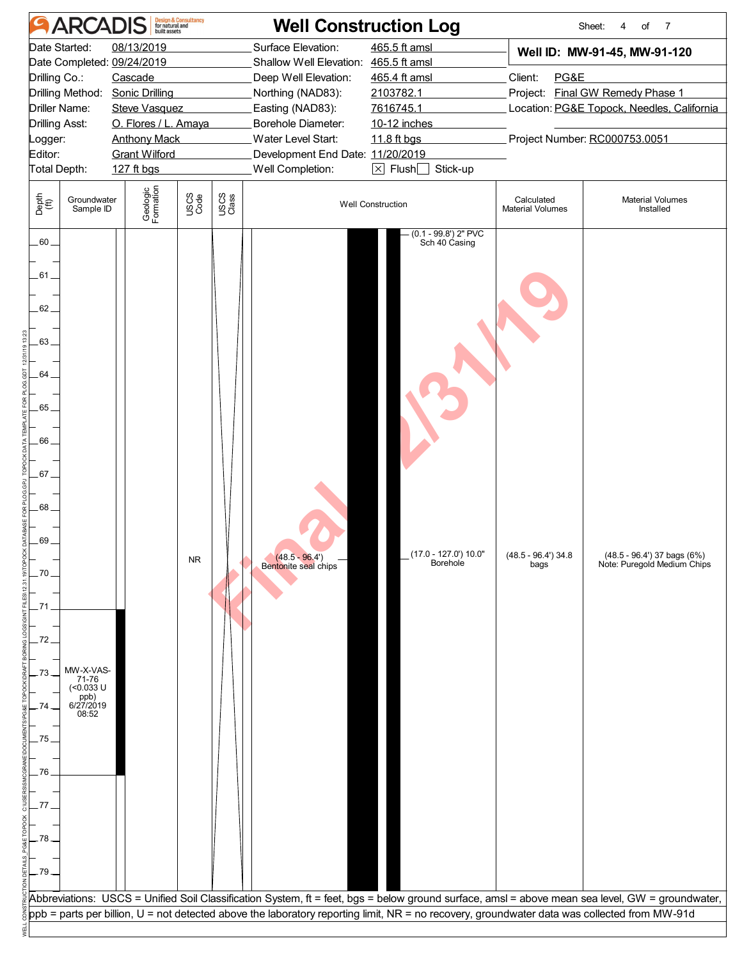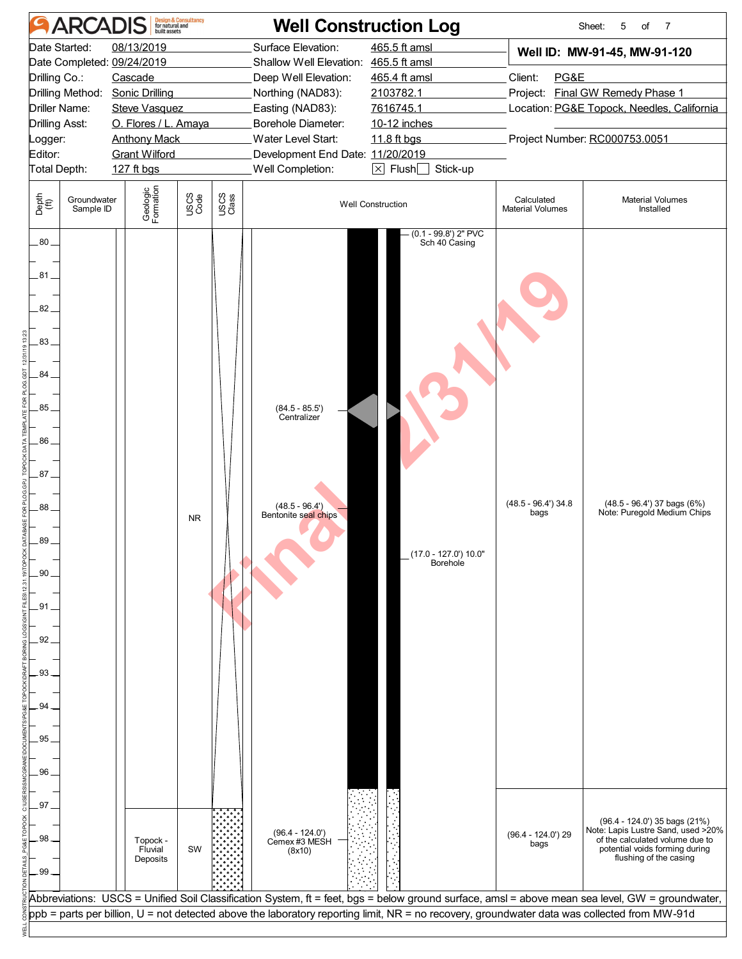| Surface Elevation:<br>465.5 ft amsl<br>Date Started:<br>08/13/2019<br>Well ID: MW-91-45, MW-91-120<br>Date Completed: 09/24/2019<br>Shallow Well Elevation: 465.5 ft amsl<br>Drilling Co.:<br>Cascade<br>Deep Well Elevation:<br>465.4 ft amsl<br>PG&E<br>Client:<br>Drilling Method:<br><b>Sonic Drilling</b><br>Northing (NAD83):<br>2103782.1<br>Project: Final GW Remedy Phase 1<br><b>Driller Name:</b><br>Easting (NAD83):<br>7616745.1<br>Location: PG&E Topock, Needles, California<br><b>Steve Vasquez</b><br>O. Flores / L. Amaya<br>Borehole Diameter:<br><b>Drilling Asst:</b><br>10-12 inches<br>Water Level Start:<br>Project Number: RC000753.0051<br><b>Anthony Mack</b><br>11.8 ft bgs<br>Logger:<br>Editor:<br><b>Grant Wilford</b><br>Development End Date: 11/20/2019<br>$\boxed{\times}$ Flush $\boxed{\phantom{0}}$ Stick-up<br>Total Depth:<br>Well Completion:<br>127 ft bgs<br>Geologic<br>Formation<br>USCS<br>Code<br>USCS<br>Class<br>Depth<br>(ft)<br>Groundwater<br>Calculated<br><b>Material Volumes</b><br><b>Well Construction</b><br>Sample ID<br><b>Material Volumes</b><br>Installed<br>$(0.1 - 99.8')$ 2" PVC<br>$.80-$<br>Sch 40 Casing<br>.81.<br>82.<br>.83<br>84.<br>.85<br>$(84.5 - 85.5')$<br>Centralizer<br>.86<br>.87.<br>$(48.5 - 96.4)$ 34.8<br>$(48.5 - 96.4')$ 37 bags $(6%)$<br>$(48.5 - 96.4')$<br>88.<br>Note: Puregold Medium Chips<br>bags<br>Bentonite seal chips<br><b>NR</b><br>89.<br>(17.0 - 127.0') 10.0"<br>Borehole<br>.90<br>.91<br>92<br>93<br>94<br>95<br>96<br>.97<br>(96.4 - 124.0') 35 bags (21%)<br>$(96.4 - 124.0')$<br>$(96.4 - 124.0)$ 29<br>98<br>of the calculated volume due to<br>Cemex #3 MESH<br>Topock -<br>bags<br>potential voids forming during<br>Fluvial<br>SW<br>(8x10)<br>flushing of the casing<br>Deposits<br>.99<br>Abbreviations: USCS = Unified Soil Classification System, ft = feet, bgs = below ground surface, amsl = above mean sea level, GW = groundwater,<br>ppb = parts per billion, U = not detected above the laboratory reporting limit, NR = no recovery, groundwater data was collected from MW-91d | <b>ARCADIS</b> |  |  | Design & Consultancy<br>for natural and<br>built assets |  | <b>Well Construction Log</b> | Sheet:<br>5<br>of<br>$\overline{7}$ |
|--------------------------------------------------------------------------------------------------------------------------------------------------------------------------------------------------------------------------------------------------------------------------------------------------------------------------------------------------------------------------------------------------------------------------------------------------------------------------------------------------------------------------------------------------------------------------------------------------------------------------------------------------------------------------------------------------------------------------------------------------------------------------------------------------------------------------------------------------------------------------------------------------------------------------------------------------------------------------------------------------------------------------------------------------------------------------------------------------------------------------------------------------------------------------------------------------------------------------------------------------------------------------------------------------------------------------------------------------------------------------------------------------------------------------------------------------------------------------------------------------------------------------------------------------------------------------------------------------------------------------------------------------------------------------------------------------------------------------------------------------------------------------------------------------------------------------------------------------------------------------------------------------------------------------------------------------------------------------------------------------------------------------------------------------------------------------------------------------------------|----------------|--|--|---------------------------------------------------------|--|------------------------------|-------------------------------------|
|                                                                                                                                                                                                                                                                                                                                                                                                                                                                                                                                                                                                                                                                                                                                                                                                                                                                                                                                                                                                                                                                                                                                                                                                                                                                                                                                                                                                                                                                                                                                                                                                                                                                                                                                                                                                                                                                                                                                                                                                                                                                                                              |                |  |  |                                                         |  |                              |                                     |
|                                                                                                                                                                                                                                                                                                                                                                                                                                                                                                                                                                                                                                                                                                                                                                                                                                                                                                                                                                                                                                                                                                                                                                                                                                                                                                                                                                                                                                                                                                                                                                                                                                                                                                                                                                                                                                                                                                                                                                                                                                                                                                              |                |  |  |                                                         |  |                              |                                     |
|                                                                                                                                                                                                                                                                                                                                                                                                                                                                                                                                                                                                                                                                                                                                                                                                                                                                                                                                                                                                                                                                                                                                                                                                                                                                                                                                                                                                                                                                                                                                                                                                                                                                                                                                                                                                                                                                                                                                                                                                                                                                                                              |                |  |  |                                                         |  |                              |                                     |
|                                                                                                                                                                                                                                                                                                                                                                                                                                                                                                                                                                                                                                                                                                                                                                                                                                                                                                                                                                                                                                                                                                                                                                                                                                                                                                                                                                                                                                                                                                                                                                                                                                                                                                                                                                                                                                                                                                                                                                                                                                                                                                              |                |  |  |                                                         |  |                              | Note: Lapis Lustre Sand, used >20%  |
|                                                                                                                                                                                                                                                                                                                                                                                                                                                                                                                                                                                                                                                                                                                                                                                                                                                                                                                                                                                                                                                                                                                                                                                                                                                                                                                                                                                                                                                                                                                                                                                                                                                                                                                                                                                                                                                                                                                                                                                                                                                                                                              |                |  |  |                                                         |  |                              |                                     |
|                                                                                                                                                                                                                                                                                                                                                                                                                                                                                                                                                                                                                                                                                                                                                                                                                                                                                                                                                                                                                                                                                                                                                                                                                                                                                                                                                                                                                                                                                                                                                                                                                                                                                                                                                                                                                                                                                                                                                                                                                                                                                                              |                |  |  |                                                         |  |                              |                                     |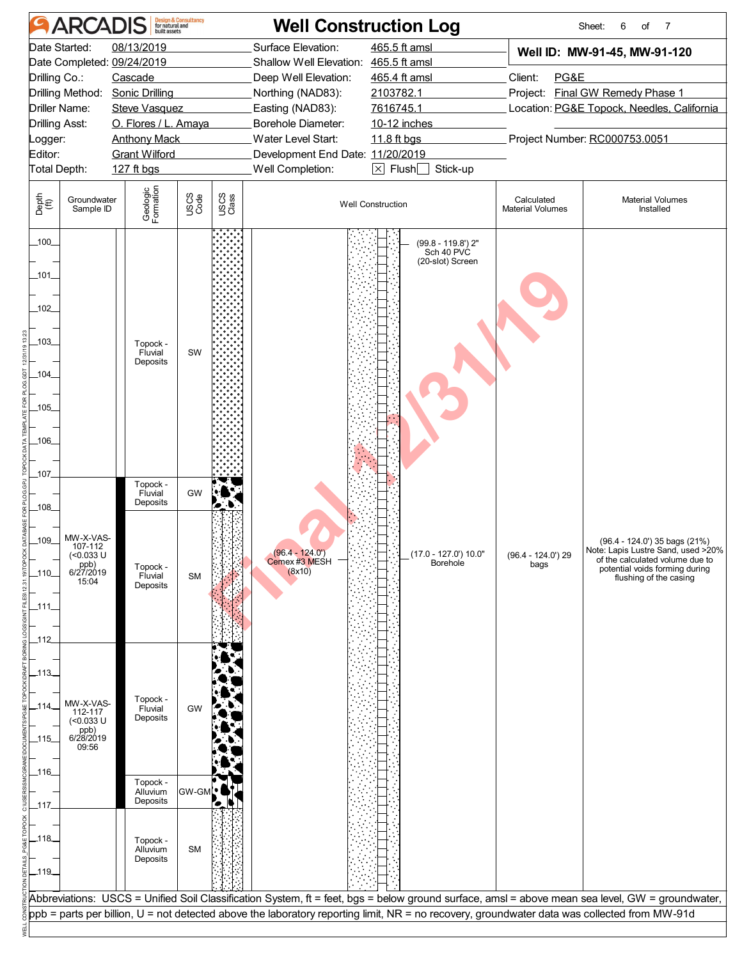|                                    | <b>ARCADIS</b>                                                     |                                  | <b>Design &amp; Consultancy</b><br>for natural and<br>built assets |               |                                            | <b>Well Construction Log</b>                                                                                                                 |                                            | Sheet:<br>6<br>of<br>-7                                                                                                                                            |  |  |  |
|------------------------------------|--------------------------------------------------------------------|----------------------------------|--------------------------------------------------------------------|---------------|--------------------------------------------|----------------------------------------------------------------------------------------------------------------------------------------------|--------------------------------------------|--------------------------------------------------------------------------------------------------------------------------------------------------------------------|--|--|--|
|                                    | Date Started:                                                      | 08/13/2019                       |                                                                    |               | Surface Elevation:                         | 465.5 ft amsl                                                                                                                                |                                            | Well ID: MW-91-45, MW-91-120                                                                                                                                       |  |  |  |
|                                    |                                                                    | Date Completed: 09/24/2019       |                                                                    |               | Shallow Well Elevation: 465.5 ft amsl      |                                                                                                                                              |                                            |                                                                                                                                                                    |  |  |  |
| Drilling Co.:                      |                                                                    | Cascade                          |                                                                    |               | Deep Well Elevation:                       | 465.4 ft amsl                                                                                                                                | PG&E<br>Client:                            |                                                                                                                                                                    |  |  |  |
|                                    | Drilling Method:                                                   | <b>Sonic Drilling</b>            |                                                                    |               | Northing (NAD83):                          | 2103782.1                                                                                                                                    |                                            | Project: Final GW Remedy Phase 1                                                                                                                                   |  |  |  |
|                                    | Driller Name:                                                      | <b>Steve Vasquez</b>             |                                                                    |               | Easting (NAD83):                           | 7616745.1                                                                                                                                    | Location: PG&E Topock, Needles, California |                                                                                                                                                                    |  |  |  |
| Drilling Asst:                     |                                                                    | O. Flores / L. Amaya             |                                                                    |               | Borehole Diameter:                         | 10-12 inches                                                                                                                                 |                                            |                                                                                                                                                                    |  |  |  |
| _ogger:                            |                                                                    | <b>Anthony Mack</b>              |                                                                    |               | Water Level Start:                         | 11.8 ft bgs                                                                                                                                  |                                            | Project Number: RC000753.0051                                                                                                                                      |  |  |  |
| Editor:                            |                                                                    | <b>Grant Wilford</b>             |                                                                    |               | Development End Date: 11/20/2019           |                                                                                                                                              |                                            |                                                                                                                                                                    |  |  |  |
| Total Depth:                       |                                                                    | 127 ft bgs                       |                                                                    |               | Well Completion:                           | $\boxed{\times}$ Flush $\boxed{\phantom{0}}$ Stick-up                                                                                        |                                            |                                                                                                                                                                    |  |  |  |
| Depth<br>(ff)                      | Groundwater<br>Sample ID                                           | Geologic<br>Formation            | USCS<br>Code                                                       | USCS<br>Class |                                            | <b>Well Construction</b>                                                                                                                     | Calculated<br><b>Material Volumes</b>      | <b>Material Volumes</b><br>Installed                                                                                                                               |  |  |  |
| 100<br>101<br>$-102$               |                                                                    |                                  |                                                                    |               |                                            | (99.8 - 119.8') 2"<br>Sch 40 PVC<br>(20-slot) Screen                                                                                         |                                            |                                                                                                                                                                    |  |  |  |
| $-103$<br>$-104$                   |                                                                    | Topock -<br>Fluvial<br>Deposits  | SW                                                                 |               |                                            |                                                                                                                                              |                                            |                                                                                                                                                                    |  |  |  |
| $-105$                             |                                                                    |                                  |                                                                    |               |                                            |                                                                                                                                              |                                            |                                                                                                                                                                    |  |  |  |
|                                    |                                                                    |                                  |                                                                    |               |                                            |                                                                                                                                              |                                            |                                                                                                                                                                    |  |  |  |
| $-106$                             |                                                                    |                                  |                                                                    |               |                                            |                                                                                                                                              |                                            |                                                                                                                                                                    |  |  |  |
|                                    |                                                                    |                                  |                                                                    |               |                                            |                                                                                                                                              |                                            |                                                                                                                                                                    |  |  |  |
| 107                                |                                                                    |                                  |                                                                    |               |                                            |                                                                                                                                              |                                            |                                                                                                                                                                    |  |  |  |
|                                    |                                                                    | Topock -<br>Fluvial              | GW                                                                 |               |                                            |                                                                                                                                              |                                            |                                                                                                                                                                    |  |  |  |
| .108.                              |                                                                    | Deposits                         |                                                                    |               |                                            |                                                                                                                                              |                                            |                                                                                                                                                                    |  |  |  |
| 109_<br>_110_<br>111.<br>_112      | MW-X-VAS-<br>107-112<br>(<0.033 U<br>ppb)<br>6/27/2019<br>15:04    | Topock -<br>Fluvial<br>Deposits  | <b>SM</b>                                                          |               | $(96.4 - 124.0)$<br>Cemex #3 MESH $(8x10)$ | (17.0 - 127.0') 10.0"<br>Borehole                                                                                                            | $(96.4 - 124.0)$ 29<br>bags                | (96.4 - 124.0') 35 bags (21%)<br>Note: Lapis Lustre Sand, used >20%<br>of the calculated volume due to<br>potential voids forming during<br>flushing of the casing |  |  |  |
| _113_<br>$-114$<br>$-115$<br>-116- | MW-X-VAS-<br>112-117<br>$($ <0.033 U<br>ppb)<br>6/28/2019<br>09:56 | Topock -<br>Fluvial<br>Deposits  | GW                                                                 |               |                                            |                                                                                                                                              |                                            |                                                                                                                                                                    |  |  |  |
|                                    |                                                                    | Topock -<br>Alluvium             | GW-GM                                                              |               |                                            |                                                                                                                                              |                                            |                                                                                                                                                                    |  |  |  |
| _117.                              |                                                                    | Deposits                         |                                                                    |               |                                            |                                                                                                                                              |                                            |                                                                                                                                                                    |  |  |  |
| _118_<br>$-119$                    |                                                                    | Topock -<br>Alluvium<br>Deposits | <b>SM</b>                                                          |               |                                            |                                                                                                                                              |                                            |                                                                                                                                                                    |  |  |  |
|                                    |                                                                    |                                  |                                                                    |               |                                            |                                                                                                                                              |                                            | Abbreviations: USCS = Unified Soil Classification System, ft = feet, bgs = below ground surface, amsl = above mean sea level, GW = groundwater,                    |  |  |  |
|                                    |                                                                    |                                  |                                                                    |               |                                            | ppb = parts per billion, U = not detected above the laboratory reporting limit, NR = no recovery, groundwater data was collected from MW-91d |                                            |                                                                                                                                                                    |  |  |  |
|                                    |                                                                    |                                  |                                                                    |               |                                            |                                                                                                                                              |                                            |                                                                                                                                                                    |  |  |  |
|                                    |                                                                    |                                  |                                                                    |               |                                            |                                                                                                                                              |                                            |                                                                                                                                                                    |  |  |  |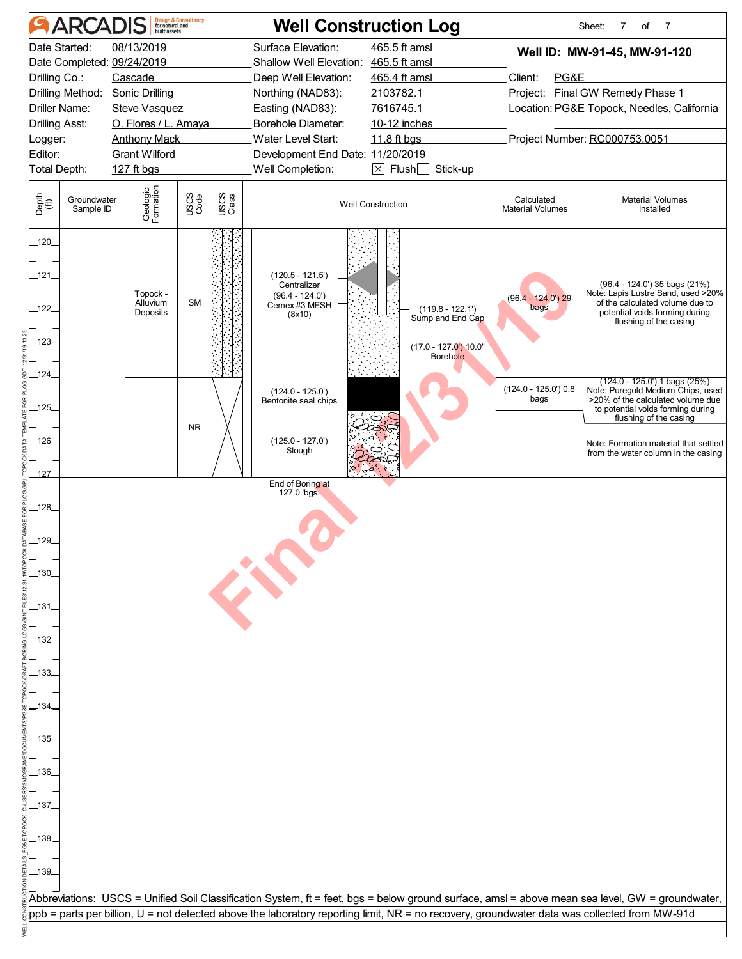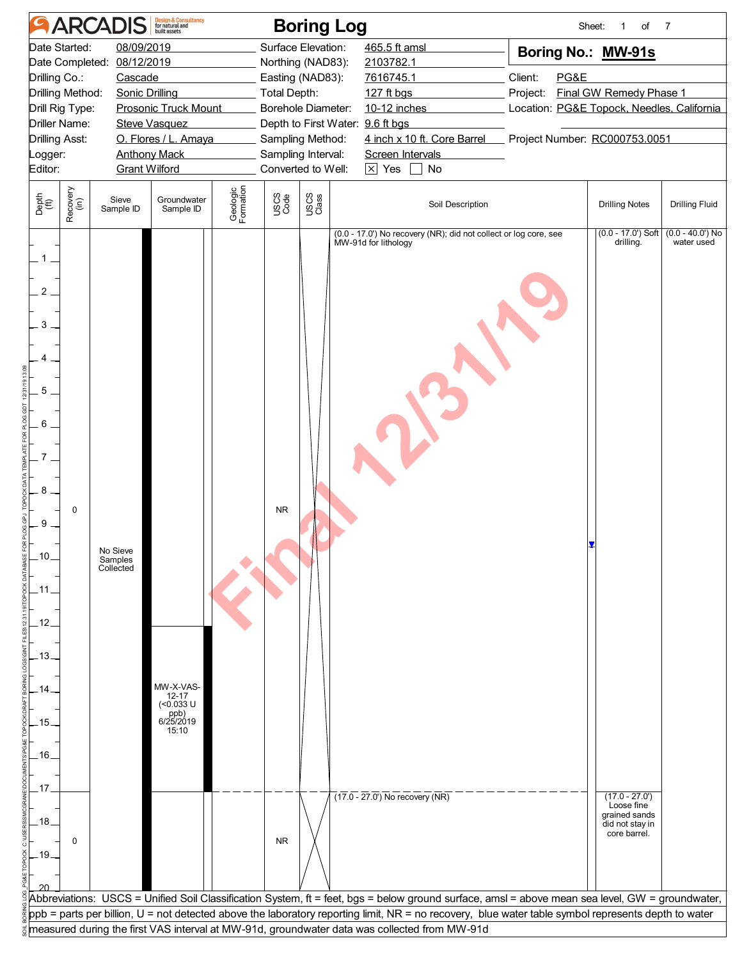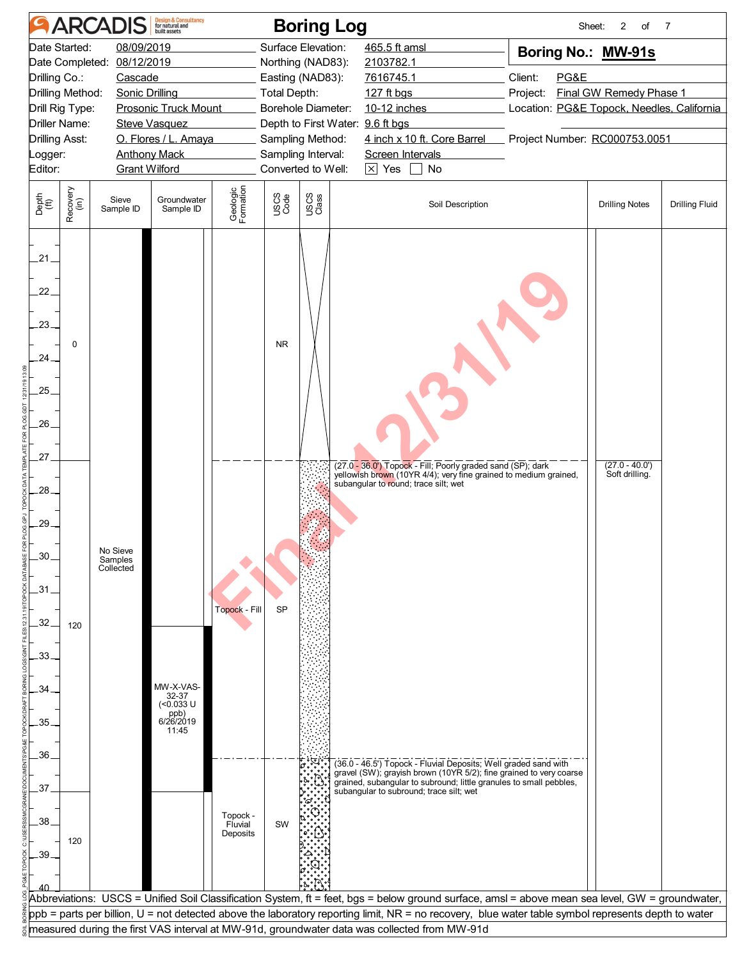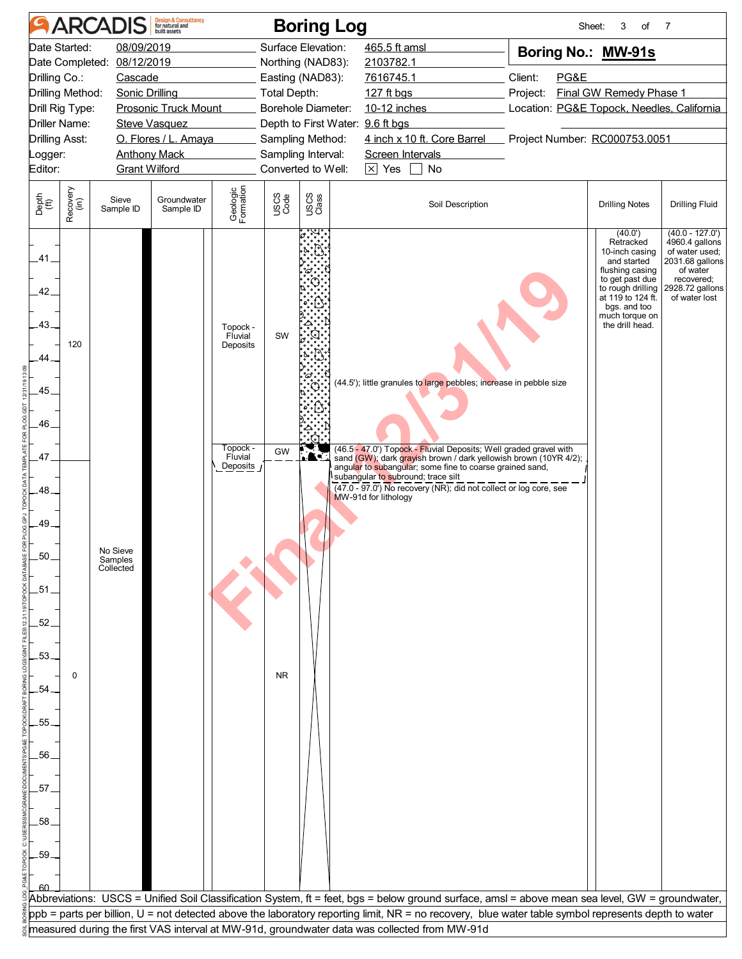|                                                 |                                                                                                                                                                                                                                                                                                                                   | <b>ARCADIS</b>                   | <b>Design &amp; Consultancy</b><br>for natural and |                                                                    |              | <b>Boring Log</b>                                                                                                                                                                                            |                                                                                                                                                                                                                                                                                                               |                                                   | Sheet:<br>3<br>of                                                                                                                                                                          | 7                                                                                                                                     |  |
|-------------------------------------------------|-----------------------------------------------------------------------------------------------------------------------------------------------------------------------------------------------------------------------------------------------------------------------------------------------------------------------------------|----------------------------------|----------------------------------------------------|--------------------------------------------------------------------|--------------|--------------------------------------------------------------------------------------------------------------------------------------------------------------------------------------------------------------|---------------------------------------------------------------------------------------------------------------------------------------------------------------------------------------------------------------------------------------------------------------------------------------------------------------|---------------------------------------------------|--------------------------------------------------------------------------------------------------------------------------------------------------------------------------------------------|---------------------------------------------------------------------------------------------------------------------------------------|--|
| Date Started:<br>Editor:                        | 08/09/2019<br>08/12/2019<br>Date Completed:<br>Drilling Co.:<br>Cascade<br>Drilling Method:<br><b>Sonic Drilling</b><br><b>Prosonic Truck Mount</b><br>Drill Rig Type:<br><b>Driller Name:</b><br><b>Steve Vasquez</b><br>O. Flores / L. Amaya<br><b>Drilling Asst:</b><br><b>Anthony Mack</b><br>_ogger:<br><b>Grant Wilford</b> |                                  |                                                    |                                                                    |              | Surface Elevation:<br>Northing (NAD83):<br>Easting (NAD83):<br><b>Total Depth:</b><br>Borehole Diameter:<br>Depth to First Water: 9.6 ft bgs<br>Sampling Method:<br>Sampling Interval:<br>Converted to Well: | 465.5 ft amsl<br>2103782.1<br>7616745.1<br>127 ft bgs<br>10-12 inches<br>4 inch x 10 ft. Core Barrel<br>Screen Intervals<br>$\boxed{\times}$ Yes $\boxed{\phantom{1}}$ No                                                                                                                                     | Boring No.: MW-91s<br>Client:<br>PG&E<br>Project: | Final GW Remedy Phase 1<br>Location: PG&E Topock, Needles, California<br>Project Number: RC000753.0051                                                                                     |                                                                                                                                       |  |
| Depth<br>(ft)                                   | Recovery<br>(in)                                                                                                                                                                                                                                                                                                                  | Sieve<br>Sample ID               | Groundwater<br>Sample ID                           | Geologic<br>Formation                                              | USCS<br>Code | USCS<br>Class                                                                                                                                                                                                | Soil Description                                                                                                                                                                                                                                                                                              |                                                   | <b>Drilling Notes</b>                                                                                                                                                                      | <b>Drilling Fluid</b>                                                                                                                 |  |
| .41.<br>.42<br>$-43.$<br>.44<br>.45<br>46<br>47 | 120                                                                                                                                                                                                                                                                                                                               |                                  |                                                    | Topock -<br>Fluvial<br>Deposits<br>Topock -<br>Fluvial<br>Deposits | SW<br>GW     |                                                                                                                                                                                                              | (44.5'); little granules to large pebbles; increase in pebble size<br>(46.5 - 47.0') Topock - Fluvial Deposits; Well graded gravel with<br>sand (GW); dark grayish brown / dark yellowish brown (10YR 4/2);<br>angular to subangular; some fine to coarse grained sand,<br>subangular to subround; trace silt |                                                   | (40.0')<br>Retracked<br>10-inch casing<br>and started<br>flushing casing<br>to get past due<br>to rough drilling<br>at 119 to 124 ft.<br>bgs. and too<br>much torque on<br>the drill head. | $(40.0 - 127.0)$<br>4960.4 gallons<br>of water used;<br>2031.68 gallons<br>of water<br>recovered;<br>2928.72 gallons<br>of water lost |  |
| .48<br>.49<br>50<br>.51<br>.52<br>53            | 0                                                                                                                                                                                                                                                                                                                                 | No Sieve<br>Samples<br>Collected |                                                    |                                                                    | <b>NR</b>    |                                                                                                                                                                                                              | $\overline{(47.0 - 97.0)}$ No recovery (NR); did not collect or log core, see<br>MW-91d for lithology                                                                                                                                                                                                         |                                                   |                                                                                                                                                                                            |                                                                                                                                       |  |
| .54<br>.55<br>56<br>.57<br>.58<br>.59           |                                                                                                                                                                                                                                                                                                                                   |                                  |                                                    |                                                                    |              |                                                                                                                                                                                                              |                                                                                                                                                                                                                                                                                                               |                                                   |                                                                                                                                                                                            |                                                                                                                                       |  |
|                                                 |                                                                                                                                                                                                                                                                                                                                   |                                  |                                                    |                                                                    |              |                                                                                                                                                                                                              | Abbreviations: USCS = Unified Soil Classification System, ft = feet, bgs = below ground surface, amsl = above mean sea level, GW = groundwater,<br>ppb = parts per billion, U = not detected above the laboratory reporting limit, NR = no recovery, blue water table symbol represents depth to water        |                                                   |                                                                                                                                                                                            |                                                                                                                                       |  |
|                                                 |                                                                                                                                                                                                                                                                                                                                   |                                  |                                                    |                                                                    |              |                                                                                                                                                                                                              | measured during the first VAS interval at MW-91d, groundwater data was collected from MW-91d                                                                                                                                                                                                                  |                                                   |                                                                                                                                                                                            |                                                                                                                                       |  |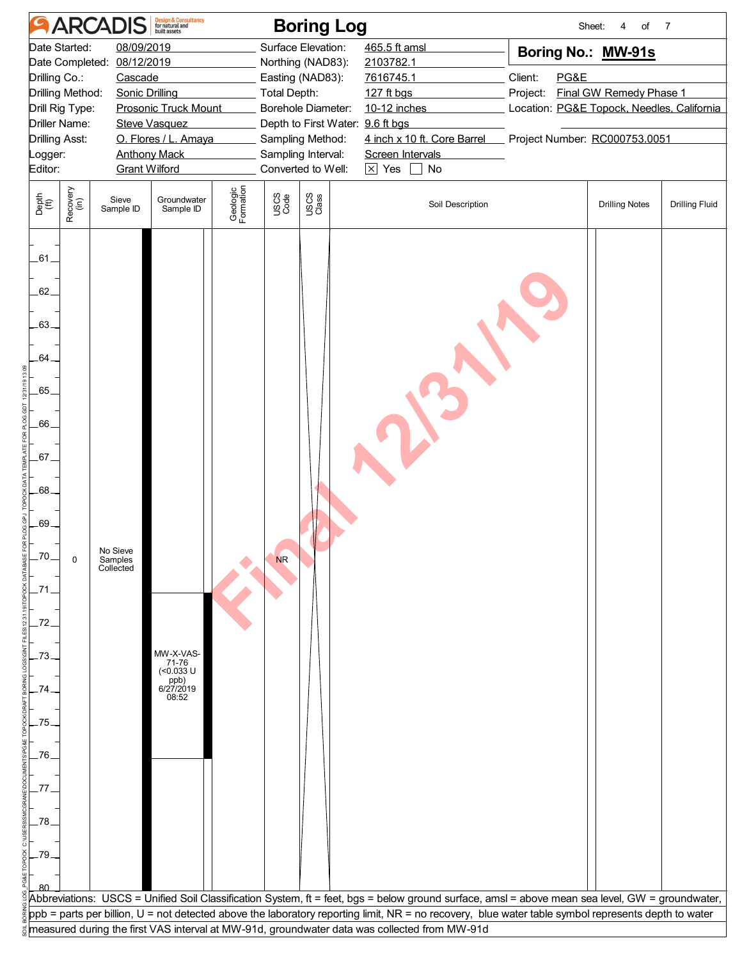|                                                                                                                             |                                                                                                                                                                                                                                                                                                                            | <b>ARCADIS</b>                   | <b>Design &amp; Consultancy</b><br>for natural and                  |                       |              | <b>Boring Log</b>                                                                                                                                                                                     |                                                                                                                                                     |                                                                                                                                                                    | Sheet:<br>of<br>4     | $\overline{7}$        |
|-----------------------------------------------------------------------------------------------------------------------------|----------------------------------------------------------------------------------------------------------------------------------------------------------------------------------------------------------------------------------------------------------------------------------------------------------------------------|----------------------------------|---------------------------------------------------------------------|-----------------------|--------------|-------------------------------------------------------------------------------------------------------------------------------------------------------------------------------------------------------|-----------------------------------------------------------------------------------------------------------------------------------------------------|--------------------------------------------------------------------------------------------------------------------------------------------------------------------|-----------------------|-----------------------|
| Date Started:<br>Editor:                                                                                                    | 08/09/2019<br>Date Completed:<br>08/12/2019<br>Drilling Co.:<br>Cascade<br>Drilling Method:<br><b>Sonic Drilling</b><br>Drill Rig Type:<br>Prosonic Truck Mount<br><b>Driller Name:</b><br><b>Steve Vasquez</b><br><b>Drilling Asst:</b><br>O. Flores / L. Amaya<br><b>Anthony Mack</b><br>Logger:<br><b>Grant Wilford</b> |                                  |                                                                     |                       |              | Surface Elevation:<br>Northing (NAD83):<br>Easting (NAD83):<br>Total Depth:<br>Borehole Diameter:<br>Depth to First Water: 9.6 ft bgs<br>Sampling Method:<br>Sampling Interval:<br>Converted to Well: | 465.5 ft amsl<br>2103782.1<br>7616745.1<br>127 ft bgs<br>10-12 inches<br>4 inch x 10 ft. Core Barrel<br>Screen Intervals<br>$\times$ Yes<br>No      | Boring No.: MW-91s<br>PG&E<br>Client:<br><b>Final GW Remedy Phase 1</b><br>Project:<br>Location: PG&E Topock, Needles, California<br>Project Number: RC000753.0051 |                       |                       |
| Depth<br>(ft)                                                                                                               | Recovery<br>(in)                                                                                                                                                                                                                                                                                                           | Sieve<br>Sample ID               | Groundwater<br>Sample ID                                            | Geologic<br>Formation | USCS<br>Code | USCS<br>Class                                                                                                                                                                                         | Soil Description                                                                                                                                    |                                                                                                                                                                    | <b>Drilling Notes</b> | <b>Drilling Fluid</b> |
| .61.<br>62.<br>$-63-$<br>.64.<br>.65<br>.66<br>.67.<br>.68.<br>.69.<br>.70<br>.73<br>74<br>.75.<br>.76<br>.77<br>.78<br>-79 | $\pmb{0}$                                                                                                                                                                                                                                                                                                                  | No Sieve<br>Samples<br>Collected | MW-X-VAS-<br>71-76<br>$($ <0.033 U<br>$p_{p}$<br>6/27/2019<br>08:52 |                       | <b>NR</b>    |                                                                                                                                                                                                       | Abbreviations: USCS = Unified Soil Classification System, ft = feet, bgs = below ground surface, amsl = above mean sea level, GW = groundwater,     |                                                                                                                                                                    |                       |                       |
|                                                                                                                             |                                                                                                                                                                                                                                                                                                                            |                                  |                                                                     |                       |              |                                                                                                                                                                                                       | ppb = parts per billion, U = not detected above the laboratory reporting limit, NR = no recovery, blue water table symbol represents depth to water |                                                                                                                                                                    |                       |                       |
|                                                                                                                             |                                                                                                                                                                                                                                                                                                                            |                                  |                                                                     |                       |              |                                                                                                                                                                                                       | measured during the first VAS interval at MW-91d, groundwater data was collected from MW-91d                                                        |                                                                                                                                                                    |                       |                       |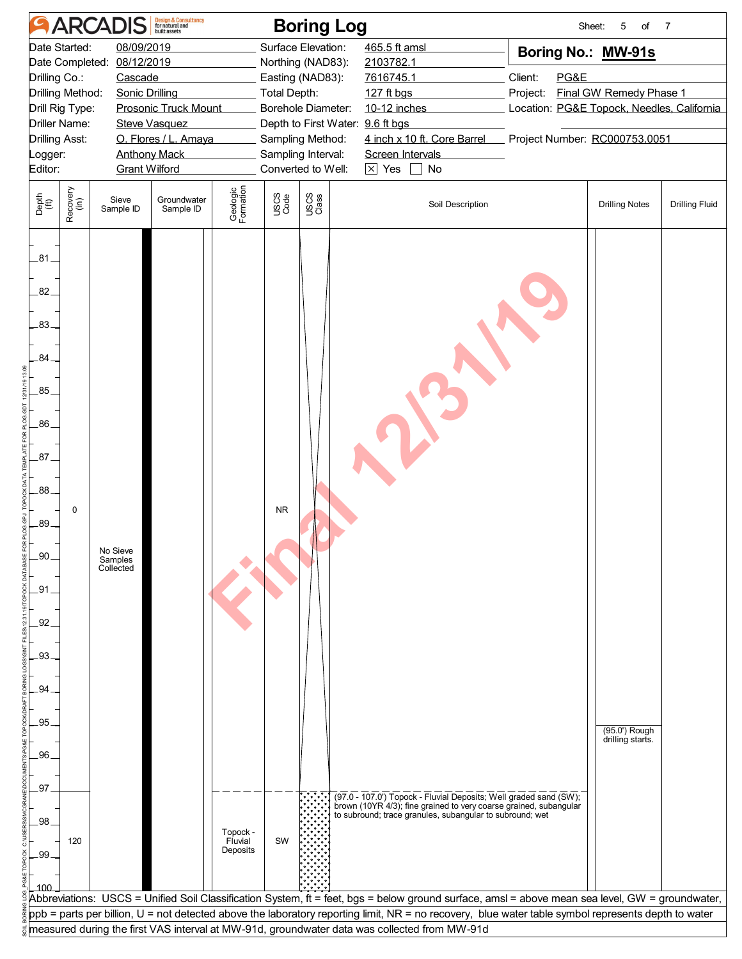|                                                                                                                      |                                                                                                                                                                                                                                                                                                                                                    | <b>ARCADIS</b>                   | <b>Design &amp; Consultancy</b><br>for natural and |                                 |              | <b>Boring Log</b>                                                                                                                                                                                            |                                                                                                                                                                                                                                                                                                                                                                                                        |                                                                                                                                                             | 5<br>Sheet:<br>of                 | $\overline{7}$        |
|----------------------------------------------------------------------------------------------------------------------|----------------------------------------------------------------------------------------------------------------------------------------------------------------------------------------------------------------------------------------------------------------------------------------------------------------------------------------------------|----------------------------------|----------------------------------------------------|---------------------------------|--------------|--------------------------------------------------------------------------------------------------------------------------------------------------------------------------------------------------------------|--------------------------------------------------------------------------------------------------------------------------------------------------------------------------------------------------------------------------------------------------------------------------------------------------------------------------------------------------------------------------------------------------------|-------------------------------------------------------------------------------------------------------------------------------------------------------------|-----------------------------------|-----------------------|
| Editor:                                                                                                              | Date Started:<br>08/09/2019<br>08/12/2019<br>Date Completed:<br>Drilling Co.:<br>Cascade<br>Drilling Method:<br><b>Sonic Drilling</b><br>Drill Rig Type:<br><b>Prosonic Truck Mount</b><br><b>Driller Name:</b><br><b>Steve Vasquez</b><br><b>Drilling Asst:</b><br>O. Flores / L. Amaya<br><b>Anthony Mack</b><br>_ogger:<br><b>Grant Wilford</b> |                                  |                                                    |                                 |              | Surface Elevation:<br>Northing (NAD83):<br>Easting (NAD83):<br><b>Total Depth:</b><br>Borehole Diameter:<br>Depth to First Water: 9.6 ft bgs<br>Sampling Method:<br>Sampling Interval:<br>Converted to Well: | 465.5 ft amsl<br>2103782.1<br>7616745.1<br>127 ft bgs<br>10-12 inches<br>4 inch x 10 ft. Core Barrel<br>Screen Intervals<br>$\overline{\times}$ Yes<br>$\Box$ No                                                                                                                                                                                                                                       | Boring No.: MW-91s<br>Client:<br>PG&E<br>Final GW Remedy Phase 1<br>Project:<br>Location: PG&E Topock, Needles, California<br>Project Number: RC000753.0051 |                                   |                       |
| Depth<br>(ft)                                                                                                        | Recovery<br>(in)                                                                                                                                                                                                                                                                                                                                   | Sieve<br>Sample ID               | Groundwater<br>Sample ID                           | Geologic<br>Formation           | USCS<br>Code | USCS<br>Class                                                                                                                                                                                                | Soil Description                                                                                                                                                                                                                                                                                                                                                                                       |                                                                                                                                                             | <b>Drilling Notes</b>             | <b>Drilling Fluid</b> |
| $-81$<br>82.<br>$-83$<br>.84.<br>.85.<br>.86.<br>.87.<br>88.<br>.89.<br>.90<br>.91<br>.92<br>.93<br>.94<br>95<br>.96 | 0                                                                                                                                                                                                                                                                                                                                                  | No Sieve<br>Samples<br>Collected |                                                    |                                 | <b>NR</b>    |                                                                                                                                                                                                              |                                                                                                                                                                                                                                                                                                                                                                                                        |                                                                                                                                                             | (95.0') Rough<br>drilling starts. |                       |
| .97<br>.98<br>.99                                                                                                    | 120                                                                                                                                                                                                                                                                                                                                                |                                  |                                                    | Topock -<br>Fluvial<br>Deposits | SW           |                                                                                                                                                                                                              | (97.0 - 107.0') Topock - Fluvial Deposits; Well graded sand (SW);<br>brown (10YR 4/3); fine grained to very coarse grained, subangular<br>to subround; trace granules, subangular to subround; wet                                                                                                                                                                                                     |                                                                                                                                                             |                                   |                       |
|                                                                                                                      |                                                                                                                                                                                                                                                                                                                                                    |                                  |                                                    |                                 |              |                                                                                                                                                                                                              | Abbreviations: USCS = Unified Soil Classification System, ft = feet, bgs = below ground surface, amsl = above mean sea level, GW = groundwater,<br>ppb = parts per billion, U = not detected above the laboratory reporting limit, NR = no recovery, blue water table symbol represents depth to water<br>measured during the first VAS interval at MW-91d, groundwater data was collected from MW-91d |                                                                                                                                                             |                                   |                       |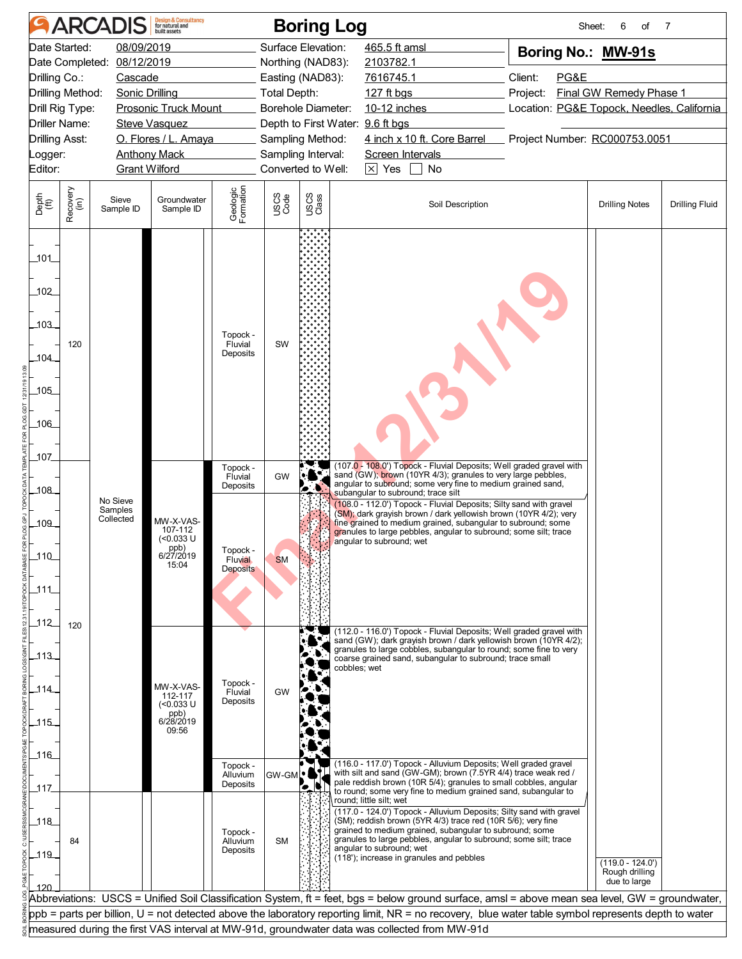|                                           |                                                                                                                                                                                                                                                                                                           | <b>ARCADIS</b>                   | <b>Design &amp; Consultancy</b><br>for natural and                  |                                                                           |                                  | <b>Boring Log</b>                                                                                                                                                      |                                                                                                                                                                                                                                                                                                                                                                                                                                                                                                                                                                                                                                                  |                             | of<br>Sheet:<br>6                                                                                                                   | 7                     |
|-------------------------------------------|-----------------------------------------------------------------------------------------------------------------------------------------------------------------------------------------------------------------------------------------------------------------------------------------------------------|----------------------------------|---------------------------------------------------------------------|---------------------------------------------------------------------------|----------------------------------|------------------------------------------------------------------------------------------------------------------------------------------------------------------------|--------------------------------------------------------------------------------------------------------------------------------------------------------------------------------------------------------------------------------------------------------------------------------------------------------------------------------------------------------------------------------------------------------------------------------------------------------------------------------------------------------------------------------------------------------------------------------------------------------------------------------------------------|-----------------------------|-------------------------------------------------------------------------------------------------------------------------------------|-----------------------|
|                                           | 08/09/2019<br>Date Started:<br>Date Completed: 08/12/2019<br>Drilling Co.:<br>Cascade<br>Drilling Method:<br>Sonic Drilling<br><b>Prosonic Truck Mount</b><br>Drill Rig Type:<br><b>Driller Name:</b><br>Steve Vasquez<br><b>Drilling Asst:</b><br>O. Flores / L. Amaya<br><b>Anthony Mack</b><br>Logger: |                                  |                                                                     |                                                                           | <b>Total Depth:</b>              | Surface Elevation:<br>Northing (NAD83):<br>Easting (NAD83):<br><b>Borehole Diameter:</b><br>Depth to First Water: 9.6 ft bgs<br>Sampling Method:<br>Sampling Interval: | 465.5 ft amsl<br>2103782.1<br>7616745.1<br>127 ft bgs<br>10-12 inches<br>4 inch x 10 ft. Core Barrel<br>Screen Intervals                                                                                                                                                                                                                                                                                                                                                                                                                                                                                                                         | Client:<br>PG&E<br>Project: | Boring No.: MW-91s<br><b>Final GW Remedy Phase 1</b><br>Location: PG&E Topock, Needles, California<br>Project Number: RC000753.0051 |                       |
| Editor:                                   |                                                                                                                                                                                                                                                                                                           | <b>Grant Wilford</b>             |                                                                     |                                                                           |                                  | Converted to Well:                                                                                                                                                     | $\times$ Yes<br>No                                                                                                                                                                                                                                                                                                                                                                                                                                                                                                                                                                                                                               |                             |                                                                                                                                     |                       |
| Depth<br>(ft)                             | Recovery<br>(in)                                                                                                                                                                                                                                                                                          | Sieve<br>Sample ID               | Groundwater<br>Sample ID                                            | Geologic<br>Formation                                                     | USCS<br>Code                     | USCS<br>Class                                                                                                                                                          | Soil Description                                                                                                                                                                                                                                                                                                                                                                                                                                                                                                                                                                                                                                 |                             | <b>Drilling Notes</b>                                                                                                               | <b>Drilling Fluid</b> |
| _101_<br>102<br>103<br>104<br>.105<br>106 | 120                                                                                                                                                                                                                                                                                                       |                                  |                                                                     | Topock -<br>Fluvial<br>Deposits                                           | SW                               |                                                                                                                                                                        |                                                                                                                                                                                                                                                                                                                                                                                                                                                                                                                                                                                                                                                  |                             |                                                                                                                                     |                       |
| 107<br>108<br>109<br>110<br>111<br>112    |                                                                                                                                                                                                                                                                                                           | No Sieve<br>Samples<br>Collected | MW-X-VAS-<br>107-112<br>(<0.033 U<br>ppb)<br>6/27/2019<br>15:04     | Topock -<br>Fluvial<br>Deposits<br>Topock -<br><b>Fluvial</b><br>Deposits | GW<br><b>SM</b>                  |                                                                                                                                                                        | (107.0 - 108.0') Topock - Fluvial Deposits; Well graded gravel with<br>sand (GW); brown (10YR 4/3); granules to very large pebbles,<br>angular to subround; some very fine to medium grained sand,<br>subangular to subround; trace silt<br>(108.0 - 112.0') Topock - Fluvial Deposits; Silty sand with gravel<br>(SM); dark gravish brown / dark yellowish brown (10YR 4/2); very<br>fine grained to medium grained, subangular to subround; some<br>granules to large pebbles, angular to subround; some silt; trace<br>angular to subround; wet                                                                                               |                             |                                                                                                                                     |                       |
| 113<br>_114_<br>115<br>ـ116               | 120                                                                                                                                                                                                                                                                                                       |                                  | MW-X-VAS-<br>112-117<br>$($ < 0.033 U<br>ppb)<br>6/28/2019<br>09:56 | Topock -<br>Fluvial<br>Deposits                                           | <b>GW</b>                        |                                                                                                                                                                        | (112.0 - 116.0') Topock - Fluvial Deposits; Well graded gravel with<br>sand (GW); dark grayish brown / dark yellowish brown (10YR 4/2);<br>granules to large cobbles, subangular to round; some fine to very<br>coarse grained sand, subangular to subround; trace small<br>cobbles; wet                                                                                                                                                                                                                                                                                                                                                         |                             |                                                                                                                                     |                       |
| _117_<br>118<br>$-119$                    | 84                                                                                                                                                                                                                                                                                                        |                                  |                                                                     | Topock -<br>Alluvium<br>Deposits<br>Topock -<br>Alluvium<br>Deposits      | GW-GML <sup>O</sup><br><b>SM</b> | Ι.                                                                                                                                                                     | (116.0 - 117.0') Topock - Alluvium Deposits; Well graded gravel<br>with silt and sand (GW-GM); brown (7.5YR 4/4) trace weak red /<br>pale reddish brown (10R 5/4); granules to small cobbles, angular<br>to round; some very fine to medium grained sand, subangular to<br>round; little silt; wet<br>(117.0 - 124.0') Topock - Alluvium Deposits; Silty sand with gravel<br>(SM); reddish brown (5YR 4/3) trace red (10R 5/6); very fine<br>grained to medium grained, subangular to subround; some<br>granules to large pebbles, angular to subround; some silt; trace<br>angular to subround; wet<br>(118'); increase in granules and pebbles |                             | $(119.0 - 124.0')$<br>Rough drilling                                                                                                |                       |
|                                           |                                                                                                                                                                                                                                                                                                           |                                  |                                                                     |                                                                           |                                  |                                                                                                                                                                        | Abbreviations: USCS = Unified Soil Classification System, ft = feet, bgs = below ground surface, amsl = above mean sea level, GW = groundwater,<br>ppb = parts per billion, U = not detected above the laboratory reporting limit, NR = no recovery, blue water table symbol represents depth to water<br>measured during the first VAS interval at MW-91d, groundwater data was collected from MW-91d                                                                                                                                                                                                                                           |                             | due to large                                                                                                                        |                       |